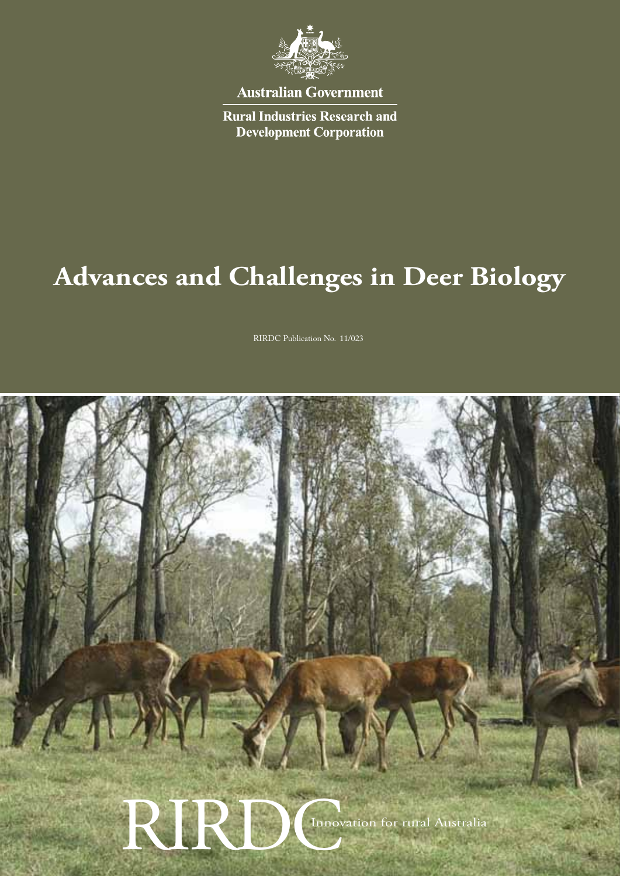

**Australian Government** 

**Rural Industries Research and Development Corporation** 

# **Advances and Challenges in Deer Biology**

RIRDC Publication No. 11/023

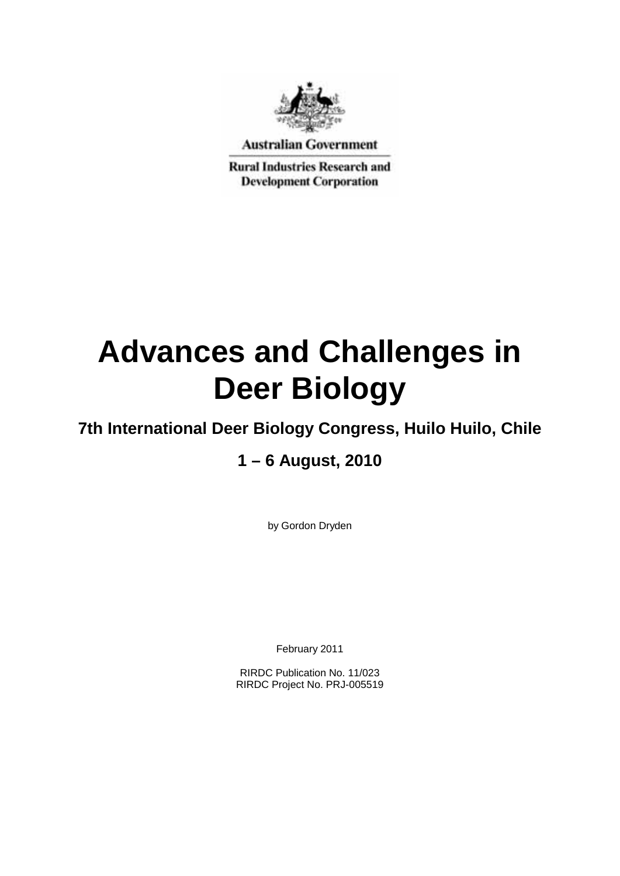

**Australian Government** 

**Rural Industries Research and Development Corporation** 

# **Advances and Challenges in Deer Biology**

## **7th International Deer Biology Congress, Huilo Huilo, Chile**

## **1 – 6 August, 2010**

by Gordon Dryden

February 2011

RIRDC Publication No. 11/023 RIRDC Project No. PRJ-005519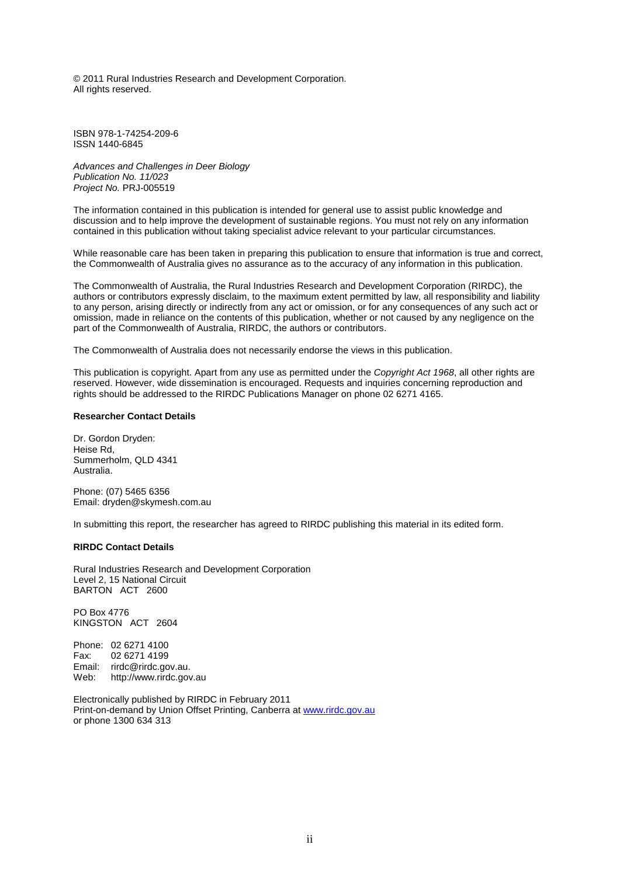© 2011 Rural Industries Research and Development Corporation. All rights reserved.

ISBN 978-1-74254-209-6 ISSN 1440-6845

*Advances and Challenges in Deer Biology Publication No. 11/023 Project No.* PRJ-005519

The information contained in this publication is intended for general use to assist public knowledge and discussion and to help improve the development of sustainable regions. You must not rely on any information contained in this publication without taking specialist advice relevant to your particular circumstances.

While reasonable care has been taken in preparing this publication to ensure that information is true and correct, the Commonwealth of Australia gives no assurance as to the accuracy of any information in this publication.

The Commonwealth of Australia, the Rural Industries Research and Development Corporation (RIRDC), the authors or contributors expressly disclaim, to the maximum extent permitted by law, all responsibility and liability to any person, arising directly or indirectly from any act or omission, or for any consequences of any such act or omission, made in reliance on the contents of this publication, whether or not caused by any negligence on the part of the Commonwealth of Australia, RIRDC, the authors or contributors.

The Commonwealth of Australia does not necessarily endorse the views in this publication.

This publication is copyright. Apart from any use as permitted under the *Copyright Act 1968*, all other rights are reserved. However, wide dissemination is encouraged. Requests and inquiries concerning reproduction and rights should be addressed to the RIRDC Publications Manager on phone 02 6271 4165.

#### **Researcher Contact Details**

Dr. Gordon Dryden: Heise Rd, Summerholm, QLD 4341 Australia.

Phone: (07) 5465 6356 Email: dryden@skymesh.com.au

In submitting this report, the researcher has agreed to RIRDC publishing this material in its edited form.

#### **RIRDC Contact Details**

Rural Industries Research and Development Corporation Level 2, 15 National Circuit BARTON ACT 2600

PO Box 4776 KINGSTON ACT 2604

Phone: 02 6271 4100 Fax: 02 6271 4199 Email: rirdc@rirdc.gov.au.<br>Web: http://www.rirdc.gov http://www.rirdc.gov.au

Electronically published by RIRDC in February 2011 Print-on-demand by Union Offset Printing, Canberra at www.rirdc.gov.au or phone 1300 634 313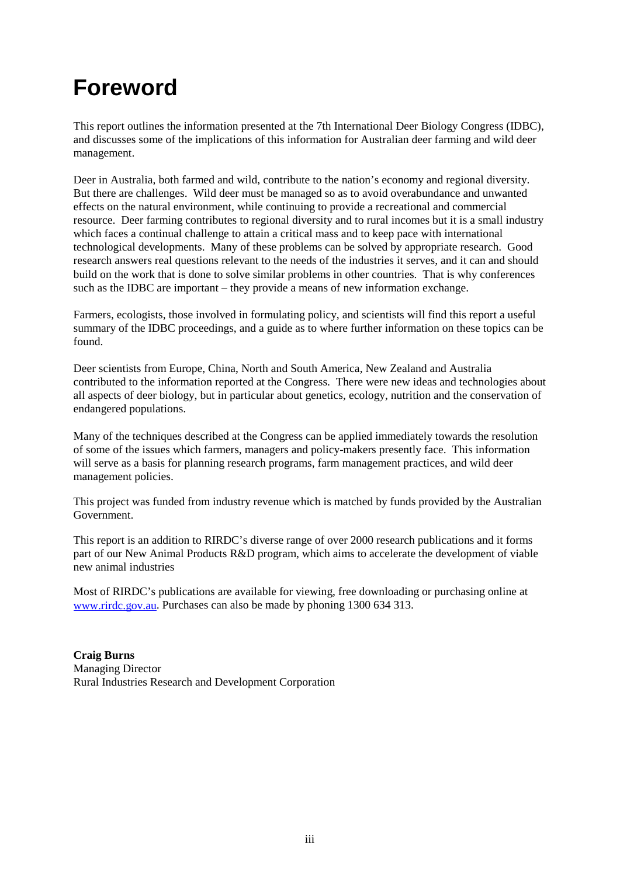## **Foreword**

This report outlines the information presented at the 7th International Deer Biology Congress (IDBC), and discusses some of the implications of this information for Australian deer farming and wild deer management.

Deer in Australia, both farmed and wild, contribute to the nation's economy and regional diversity. But there are challenges. Wild deer must be managed so as to avoid overabundance and unwanted effects on the natural environment, while continuing to provide a recreational and commercial resource. Deer farming contributes to regional diversity and to rural incomes but it is a small industry which faces a continual challenge to attain a critical mass and to keep pace with international technological developments. Many of these problems can be solved by appropriate research. Good research answers real questions relevant to the needs of the industries it serves, and it can and should build on the work that is done to solve similar problems in other countries. That is why conferences such as the IDBC are important – they provide a means of new information exchange.

Farmers, ecologists, those involved in formulating policy, and scientists will find this report a useful summary of the IDBC proceedings, and a guide as to where further information on these topics can be found.

Deer scientists from Europe, China, North and South America, New Zealand and Australia contributed to the information reported at the Congress. There were new ideas and technologies about all aspects of deer biology, but in particular about genetics, ecology, nutrition and the conservation of endangered populations.

Many of the techniques described at the Congress can be applied immediately towards the resolution of some of the issues which farmers, managers and policy-makers presently face. This information will serve as a basis for planning research programs, farm management practices, and wild deer management policies.

This project was funded from industry revenue which is matched by funds provided by the Australian Government.

This report is an addition to RIRDC's diverse range of over 2000 research publications and it forms part of our New Animal Products R&D program, which aims to accelerate the development of viable new animal industries

Most of RIRDC's publications are available for viewing, free downloading or purchasing online at [www.rirdc.gov.au.](http://www.rirdc.gov.au/) Purchases can also be made by phoning 1300 634 313.

**Craig Burns** Managing Director Rural Industries Research and Development Corporation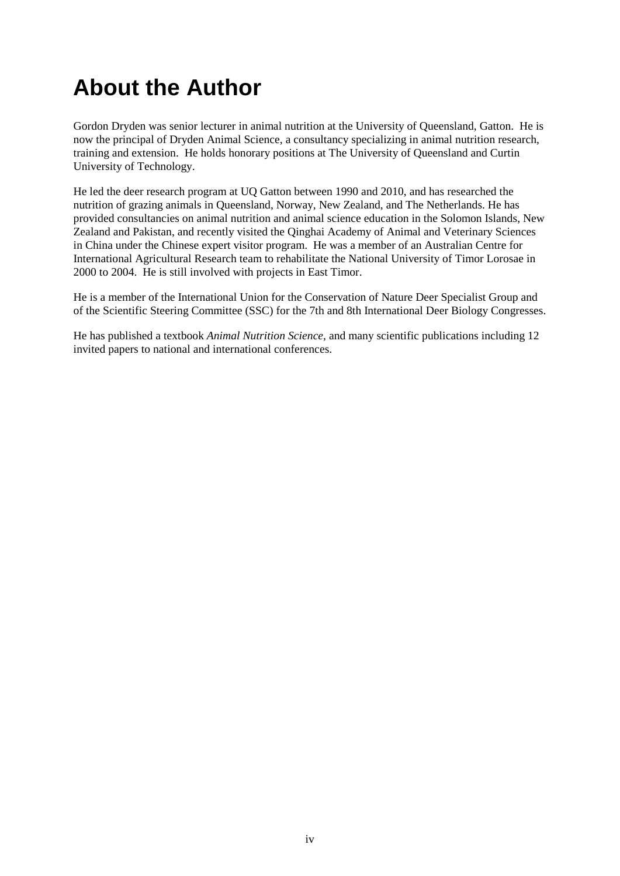## **About the Author**

Gordon Dryden was senior lecturer in animal nutrition at the University of Queensland, Gatton. He is now the principal of Dryden Animal Science, a consultancy specializing in animal nutrition research, training and extension. He holds honorary positions at The University of Queensland and Curtin University of Technology.

He led the deer research program at UQ Gatton between 1990 and 2010, and has researched the nutrition of grazing animals in Queensland, Norway, New Zealand, and The Netherlands. He has provided consultancies on animal nutrition and animal science education in the Solomon Islands, New Zealand and Pakistan, and recently visited the Qinghai Academy of Animal and Veterinary Sciences in China under the Chinese expert visitor program. He was a member of an Australian Centre for International Agricultural Research team to rehabilitate the National University of Timor Lorosae in 2000 to 2004. He is still involved with projects in East Timor.

He is a member of the International Union for the Conservation of Nature Deer Specialist Group and of the Scientific Steering Committee (SSC) for the 7th and 8th International Deer Biology Congresses.

He has published a textbook *Animal Nutrition Science*, and many scientific publications including 12 invited papers to national and international conferences.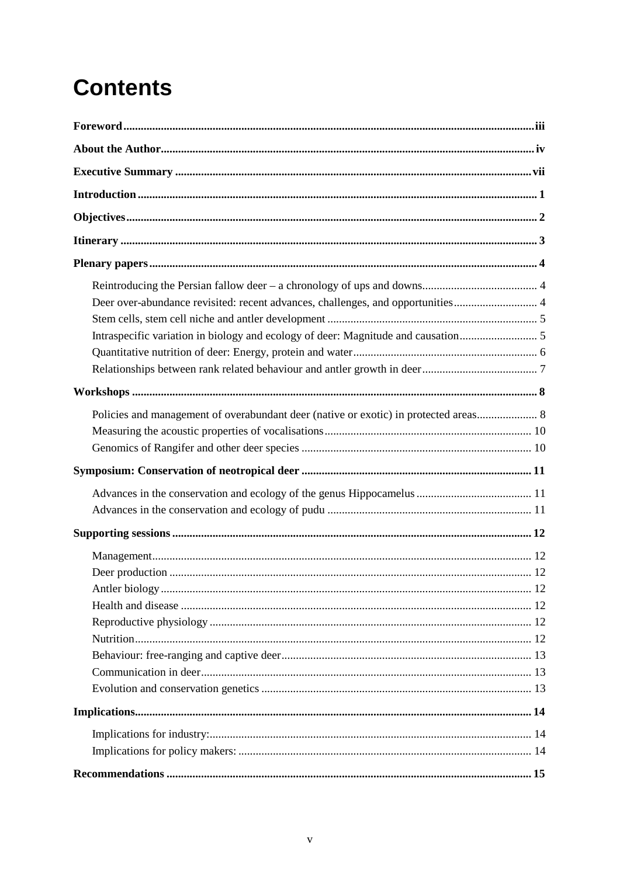# **Contents**

| Deer over-abundance revisited: recent advances, challenges, and opportunities 4      |  |
|--------------------------------------------------------------------------------------|--|
|                                                                                      |  |
|                                                                                      |  |
|                                                                                      |  |
|                                                                                      |  |
| Policies and management of overabundant deer (native or exotic) in protected areas 8 |  |
|                                                                                      |  |
|                                                                                      |  |
|                                                                                      |  |
|                                                                                      |  |
|                                                                                      |  |
|                                                                                      |  |
|                                                                                      |  |
|                                                                                      |  |
|                                                                                      |  |
|                                                                                      |  |
|                                                                                      |  |
|                                                                                      |  |
|                                                                                      |  |
|                                                                                      |  |
|                                                                                      |  |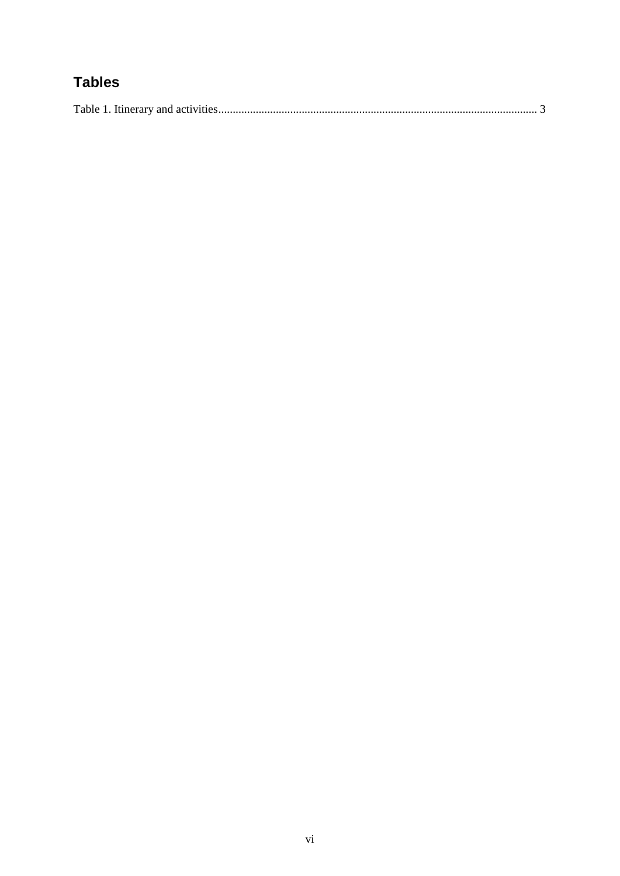## **Tables**

|--|--|--|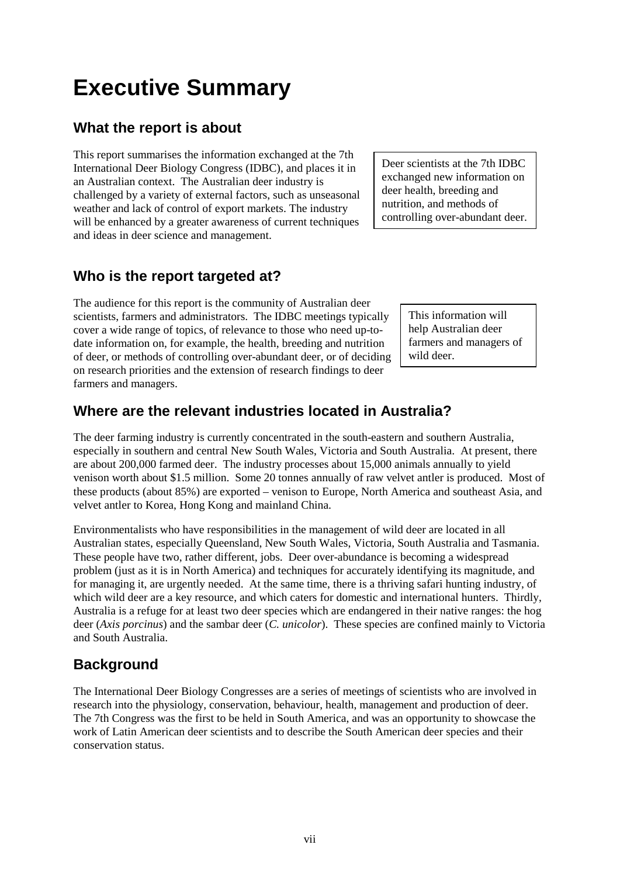## vii

## **Executive Summary**

### **What the report is about**

This report summarises the information exchanged at the 7th International Deer Biology Congress (IDBC), and places it in an Australian context. The Australian deer industry is challenged by a variety of external factors, such as unseasonal weather and lack of control of export markets. The industry will be enhanced by a greater awareness of current techniques and ideas in deer science and management.

### **Who is the report targeted at?**

The audience for this report is the community of Australian deer scientists, farmers and administrators. The IDBC meetings typically cover a wide range of topics, of relevance to those who need up-todate information on, for example, the health, breeding and nutrition of deer, or methods of controlling over-abundant deer, or of deciding on research priorities and the extension of research findings to deer farmers and managers.

### **Where are the relevant industries located in Australia?**

The deer farming industry is currently concentrated in the south-eastern and southern Australia, especially in southern and central New South Wales, Victoria and South Australia. At present, there are about 200,000 farmed deer. The industry processes about 15,000 animals annually to yield venison worth about \$1.5 million. Some 20 tonnes annually of raw velvet antler is produced. Most of these products (about 85%) are exported – venison to Europe, North America and southeast Asia, and velvet antler to Korea, Hong Kong and mainland China.

Environmentalists who have responsibilities in the management of wild deer are located in all Australian states, especially Queensland, New South Wales, Victoria, South Australia and Tasmania. These people have two, rather different, jobs. Deer over-abundance is becoming a widespread problem (just as it is in North America) and techniques for accurately identifying its magnitude, and for managing it, are urgently needed. At the same time, there is a thriving safari hunting industry, of which wild deer are a key resource, and which caters for domestic and international hunters. Thirdly, Australia is a refuge for at least two deer species which are endangered in their native ranges: the hog deer (*Axis porcinus*) and the sambar deer (*C. unicolor*). These species are confined mainly to Victoria and South Australia.

### **Background**

The International Deer Biology Congresses are a series of meetings of scientists who are involved in research into the physiology, conservation, behaviour, health, management and production of deer. The 7th Congress was the first to be held in South America, and was an opportunity to showcase the work of Latin American deer scientists and to describe the South American deer species and their conservation status.

Deer scientists at the 7th IDBC exchanged new information on deer health, breeding and nutrition, and methods of controlling over-abundant deer.

> This information will help Australian deer farmers and managers of wild deer.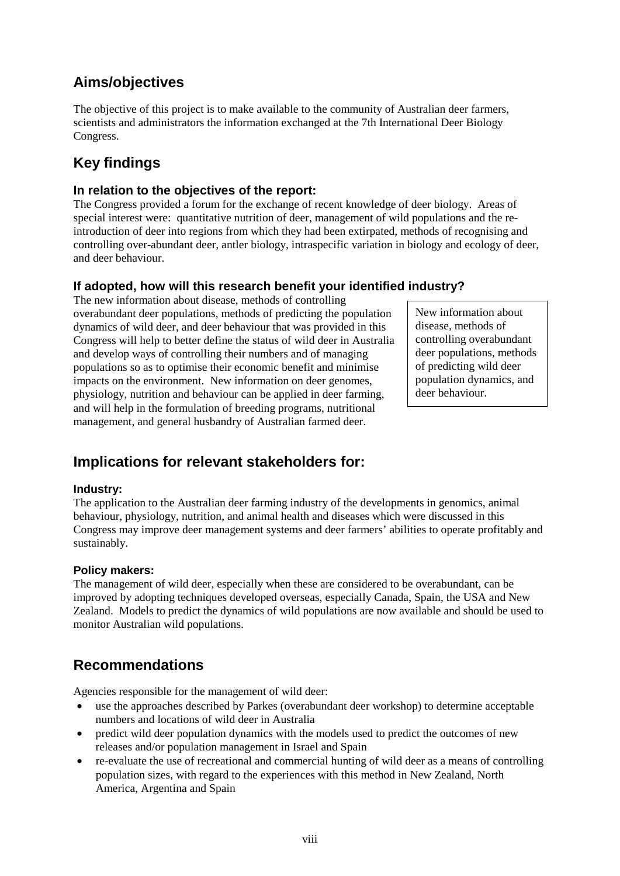### **Aims/objectives**

The objective of this project is to make available to the community of Australian deer farmers, scientists and administrators the information exchanged at the 7th International Deer Biology Congress.

### **Key findings**

#### **In relation to the objectives of the report:**

The Congress provided a forum for the exchange of recent knowledge of deer biology. Areas of special interest were: quantitative nutrition of deer, management of wild populations and the reintroduction of deer into regions from which they had been extirpated, methods of recognising and controlling over-abundant deer, antler biology, intraspecific variation in biology and ecology of deer, and deer behaviour.

#### **If adopted, how will this research benefit your identified industry?**

The new information about disease, methods of controlling overabundant deer populations, methods of predicting the population dynamics of wild deer, and deer behaviour that was provided in this Congress will help to better define the status of wild deer in Australia and develop ways of controlling their numbers and of managing populations so as to optimise their economic benefit and minimise impacts on the environment. New information on deer genomes, physiology, nutrition and behaviour can be applied in deer farming, and will help in the formulation of breeding programs, nutritional management, and general husbandry of Australian farmed deer.

New information about disease, methods of controlling overabundant deer populations, methods of predicting wild deer population dynamics, and deer behaviour.

### **Implications for relevant stakeholders for:**

#### **Industry:**

The application to the Australian deer farming industry of the developments in genomics, animal behaviour, physiology, nutrition, and animal health and diseases which were discussed in this Congress may improve deer management systems and deer farmers' abilities to operate profitably and sustainably.

#### **Policy makers:**

The management of wild deer, especially when these are considered to be overabundant, can be improved by adopting techniques developed overseas, especially Canada, Spain, the USA and New Zealand. Models to predict the dynamics of wild populations are now available and should be used to monitor Australian wild populations.

#### **Recommendations**

Agencies responsible for the management of wild deer:

- use the approaches described by Parkes (overabundant deer workshop) to determine acceptable numbers and locations of wild deer in Australia
- predict wild deer population dynamics with the models used to predict the outcomes of new releases and/or population management in Israel and Spain
- re-evaluate the use of recreational and commercial hunting of wild deer as a means of controlling population sizes, with regard to the experiences with this method in New Zealand, North America, Argentina and Spain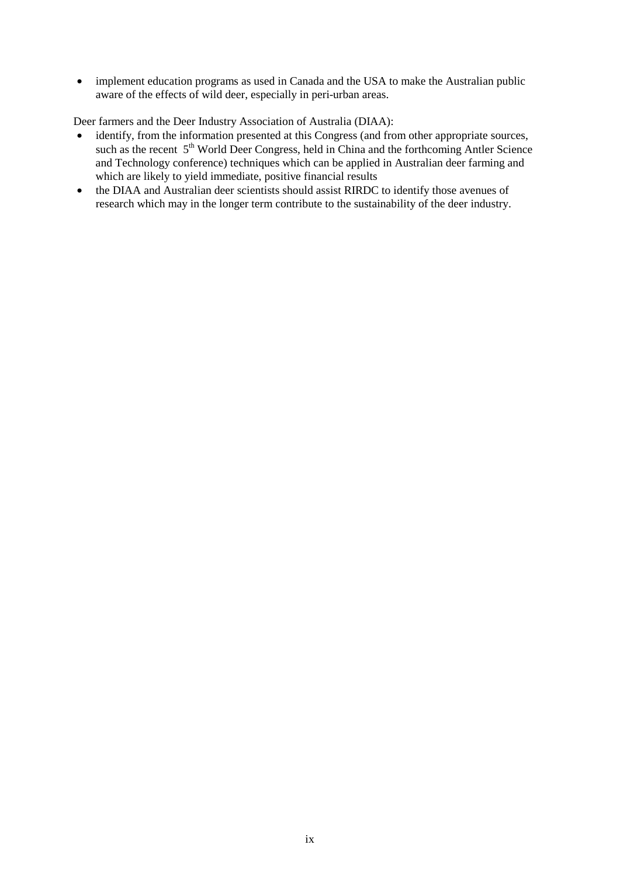• implement education programs as used in Canada and the USA to make the Australian public aware of the effects of wild deer, especially in peri-urban areas.

Deer farmers and the Deer Industry Association of Australia (DIAA):

- identify, from the information presented at this Congress (and from other appropriate sources, such as the recent 5<sup>th</sup> World Deer Congress, held in China and the forthcoming Antler Science and Technology conference) techniques which can be applied in Australian deer farming and which are likely to yield immediate, positive financial results
- the DIAA and Australian deer scientists should assist RIRDC to identify those avenues of research which may in the longer term contribute to the sustainability of the deer industry.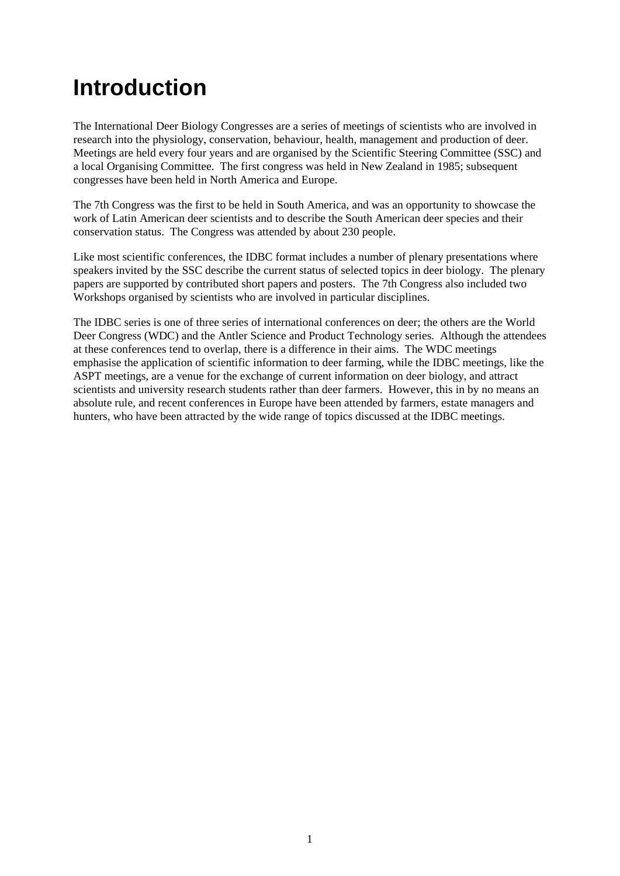## **Introduction**

The International Deer Biology Congresses are a series of meetings of scientists who are involved in research into the physiology, conservation, behaviour, health, management and production of deer. Meetings are held every four years and are organised by the Scientific Steering Committee (SSC) and a local Organising Committee. The first congress was held in New Zealand in 1985; subsequent congresses have been held in North America and Europe.

The 7th Congress was the first to be held in South America, and was an opportunity to showcase the work of Latin American deer scientists and to describe the South American deer species and their conservation status. The Congress was attended by about 230 people.

Like most scientific conferences, the IDBC format includes a number of plenary presentations where speakers invited by the SSC describe the current status of selected topics in deer biology. The plenary papers are supported by contributed short papers and posters. The 7th Congress also included two Workshops organised by scientists who are involved in particular disciplines.

The IDBC series is one of three series of international conferences on deer; the others are the World Deer Congress (WDC) and the Antler Science and Product Technology series. Although the attendees at these conferences tend to overlap, there is a difference in their aims. The WDC meetings emphasise the application of scientific information to deer farming, while the IDBC meetings, like the ASPT meetings, are a venue for the exchange of current information on deer biology, and attract scientists and university research students rather than deer farmers. However, this in by no means an absolute rule, and recent conferences in Europe have been attended by farmers, estate managers and hunters, who have been attracted by the wide range of topics discussed at the IDBC meetings.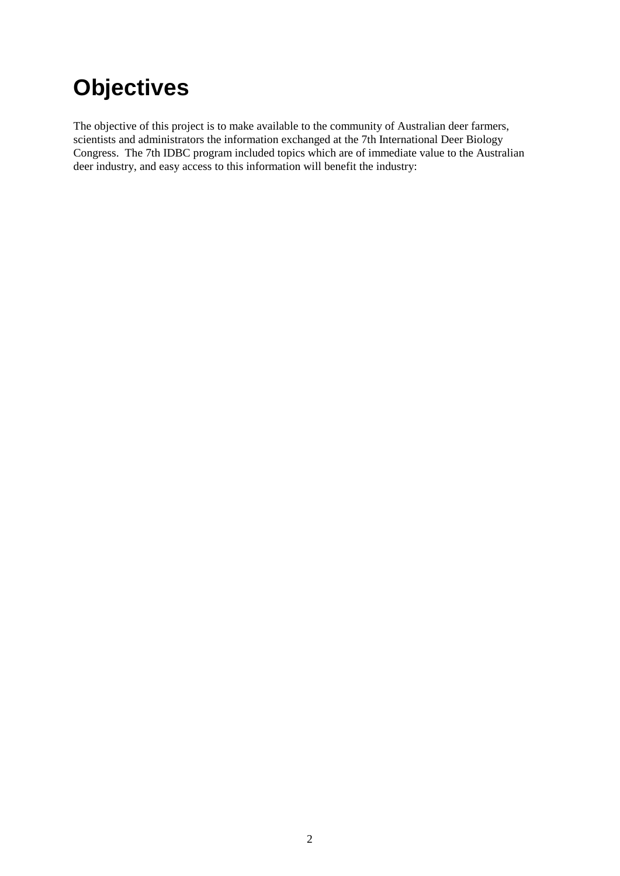# **Objectives**

The objective of this project is to make available to the community of Australian deer farmers, scientists and administrators the information exchanged at the 7th International Deer Biology Congress. The 7th IDBC program included topics which are of immediate value to the Australian deer industry, and easy access to this information will benefit the industry: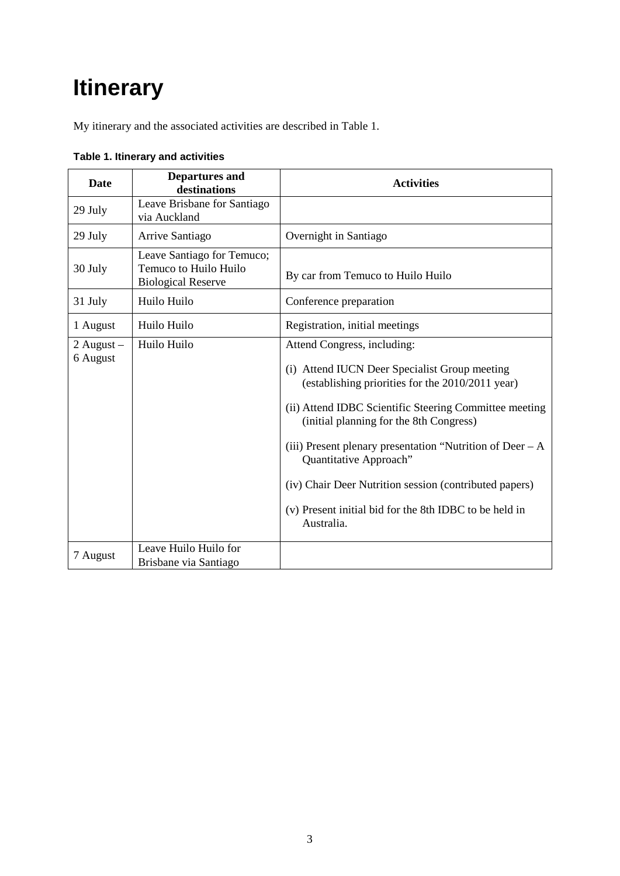## **Itinerary**

My itinerary and the associated activities are described in Table 1.

| <b>Date</b>              | <b>Departures and</b><br>destinations                                            | <b>Activities</b>                                                                                                                                                                                                                                                                                                                                                                                                                                               |
|--------------------------|----------------------------------------------------------------------------------|-----------------------------------------------------------------------------------------------------------------------------------------------------------------------------------------------------------------------------------------------------------------------------------------------------------------------------------------------------------------------------------------------------------------------------------------------------------------|
| 29 July                  | Leave Brisbane for Santiago<br>via Auckland                                      |                                                                                                                                                                                                                                                                                                                                                                                                                                                                 |
| 29 July                  | Arrive Santiago                                                                  | Overnight in Santiago                                                                                                                                                                                                                                                                                                                                                                                                                                           |
| 30 July                  | Leave Santiago for Temuco;<br>Temuco to Huilo Huilo<br><b>Biological Reserve</b> | By car from Temuco to Huilo Huilo                                                                                                                                                                                                                                                                                                                                                                                                                               |
| 31 July                  | Huilo Huilo                                                                      | Conference preparation                                                                                                                                                                                                                                                                                                                                                                                                                                          |
| 1 August                 | Huilo Huilo                                                                      | Registration, initial meetings                                                                                                                                                                                                                                                                                                                                                                                                                                  |
| 2 August $-$<br>6 August | Huilo Huilo                                                                      | Attend Congress, including:<br>(i) Attend IUCN Deer Specialist Group meeting<br>(establishing priorities for the 2010/2011 year)<br>(ii) Attend IDBC Scientific Steering Committee meeting<br>(initial planning for the 8th Congress)<br>(iii) Present plenary presentation "Nutrition of Deer $-A$<br>Quantitative Approach"<br>(iv) Chair Deer Nutrition session (contributed papers)<br>(v) Present initial bid for the 8th IDBC to be held in<br>Australia. |
| 7 August                 | Leave Huilo Huilo for<br>Brisbane via Santiago                                   |                                                                                                                                                                                                                                                                                                                                                                                                                                                                 |

<span id="page-14-0"></span>**Table 1. Itinerary and activities**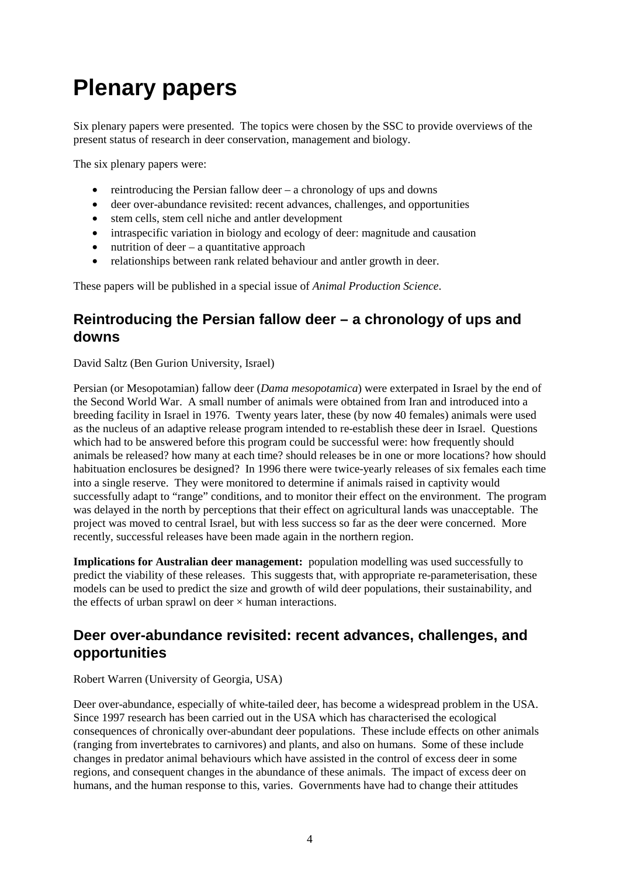## **Plenary papers**

Six plenary papers were presented. The topics were chosen by the SSC to provide overviews of the present status of research in deer conservation, management and biology.

The six plenary papers were:

- reintroducing the Persian fallow deer  $-$  a chronology of ups and downs
- deer over-abundance revisited: recent advances, challenges, and opportunities
- stem cells, stem cell niche and antler development
- intraspecific variation in biology and ecology of deer: magnitude and causation
- nutrition of deer  $-$  a quantitative approach
- relationships between rank related behaviour and antler growth in deer.

These papers will be published in a special issue of *Animal Production Science*.

#### **Reintroducing the Persian fallow deer – a chronology of ups and downs**

David Saltz (Ben Gurion University, Israel)

Persian (or Mesopotamian) fallow deer (*Dama mesopotamica*) were exterpated in Israel by the end of the Second World War. A small number of animals were obtained from Iran and introduced into a breeding facility in Israel in 1976. Twenty years later, these (by now 40 females) animals were used as the nucleus of an adaptive release program intended to re-establish these deer in Israel. Questions which had to be answered before this program could be successful were: how frequently should animals be released? how many at each time? should releases be in one or more locations? how should habituation enclosures be designed? In 1996 there were twice-yearly releases of six females each time into a single reserve. They were monitored to determine if animals raised in captivity would successfully adapt to "range" conditions, and to monitor their effect on the environment. The program was delayed in the north by perceptions that their effect on agricultural lands was unacceptable. The project was moved to central Israel, but with less success so far as the deer were concerned. More recently, successful releases have been made again in the northern region.

**Implications for Australian deer management:** population modelling was used successfully to predict the viability of these releases. This suggests that, with appropriate re-parameterisation, these models can be used to predict the size and growth of wild deer populations, their sustainability, and the effects of urban sprawl on deer  $\times$  human interactions.

#### **Deer over-abundance revisited: recent advances, challenges, and opportunities**

Robert Warren (University of Georgia, USA)

Deer over-abundance, especially of white-tailed deer, has become a widespread problem in the USA. Since 1997 research has been carried out in the USA which has characterised the ecological consequences of chronically over-abundant deer populations. These include effects on other animals (ranging from invertebrates to carnivores) and plants, and also on humans. Some of these include changes in predator animal behaviours which have assisted in the control of excess deer in some regions, and consequent changes in the abundance of these animals. The impact of excess deer on humans, and the human response to this, varies. Governments have had to change their attitudes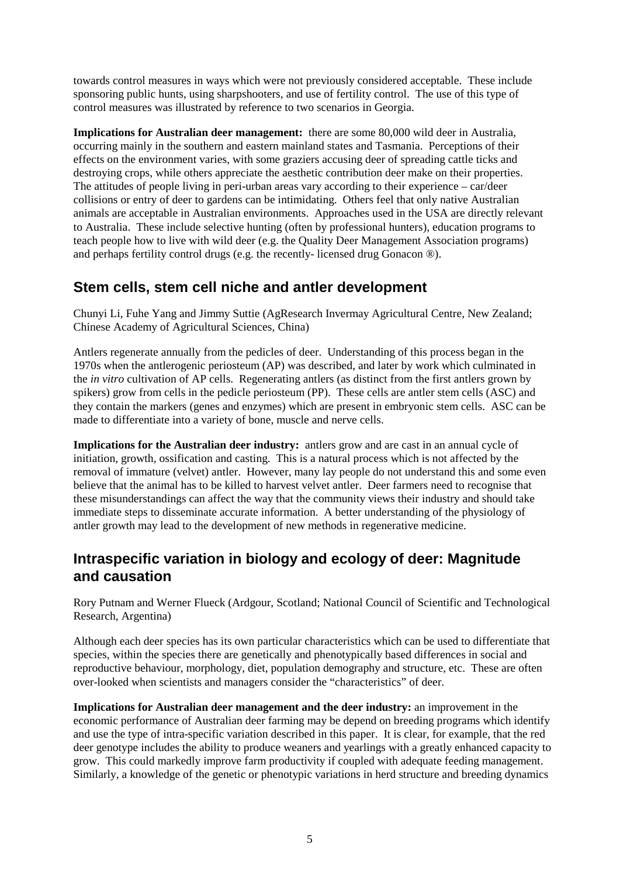towards control measures in ways which were not previously considered acceptable. These include sponsoring public hunts, using sharpshooters, and use of fertility control. The use of this type of control measures was illustrated by reference to two scenarios in Georgia.

**Implications for Australian deer management:** there are some 80,000 wild deer in Australia, occurring mainly in the southern and eastern mainland states and Tasmania. Perceptions of their effects on the environment varies, with some graziers accusing deer of spreading cattle ticks and destroying crops, while others appreciate the aesthetic contribution deer make on their properties. The attitudes of people living in peri-urban areas vary according to their experience – car/deer collisions or entry of deer to gardens can be intimidating. Others feel that only native Australian animals are acceptable in Australian environments. Approaches used in the USA are directly relevant to Australia. These include selective hunting (often by professional hunters), education programs to teach people how to live with wild deer (e.g. the Quality Deer Management Association programs) and perhaps fertility control drugs (e.g. the recently- licensed drug Gonacon ®).

#### **Stem cells, stem cell niche and antler development**

Chunyi Li, Fuhe Yang and Jimmy Suttie (AgResearch Invermay Agricultural Centre, New Zealand; Chinese Academy of Agricultural Sciences, China)

Antlers regenerate annually from the pedicles of deer. Understanding of this process began in the 1970s when the antlerogenic periosteum (AP) was described, and later by work which culminated in the *in vitro* cultivation of AP cells. Regenerating antlers (as distinct from the first antlers grown by spikers) grow from cells in the pedicle periosteum (PP). These cells are antler stem cells (ASC) and they contain the markers (genes and enzymes) which are present in embryonic stem cells. ASC can be made to differentiate into a variety of bone, muscle and nerve cells.

**Implications for the Australian deer industry:** antlers grow and are cast in an annual cycle of initiation, growth, ossification and casting. This is a natural process which is not affected by the removal of immature (velvet) antler. However, many lay people do not understand this and some even believe that the animal has to be killed to harvest velvet antler. Deer farmers need to recognise that these misunderstandings can affect the way that the community views their industry and should take immediate steps to disseminate accurate information. A better understanding of the physiology of antler growth may lead to the development of new methods in regenerative medicine.

#### **Intraspecific variation in biology and ecology of deer: Magnitude and causation**

Rory Putnam and Werner Flueck (Ardgour, Scotland; National Council of Scientific and Technological Research, Argentina)

Although each deer species has its own particular characteristics which can be used to differentiate that species, within the species there are genetically and phenotypically based differences in social and reproductive behaviour, morphology, diet, population demography and structure, etc. These are often over-looked when scientists and managers consider the "characteristics" of deer.

**Implications for Australian deer management and the deer industry:** an improvement in the economic performance of Australian deer farming may be depend on breeding programs which identify and use the type of intra-specific variation described in this paper. It is clear, for example, that the red deer genotype includes the ability to produce weaners and yearlings with a greatly enhanced capacity to grow. This could markedly improve farm productivity if coupled with adequate feeding management. Similarly, a knowledge of the genetic or phenotypic variations in herd structure and breeding dynamics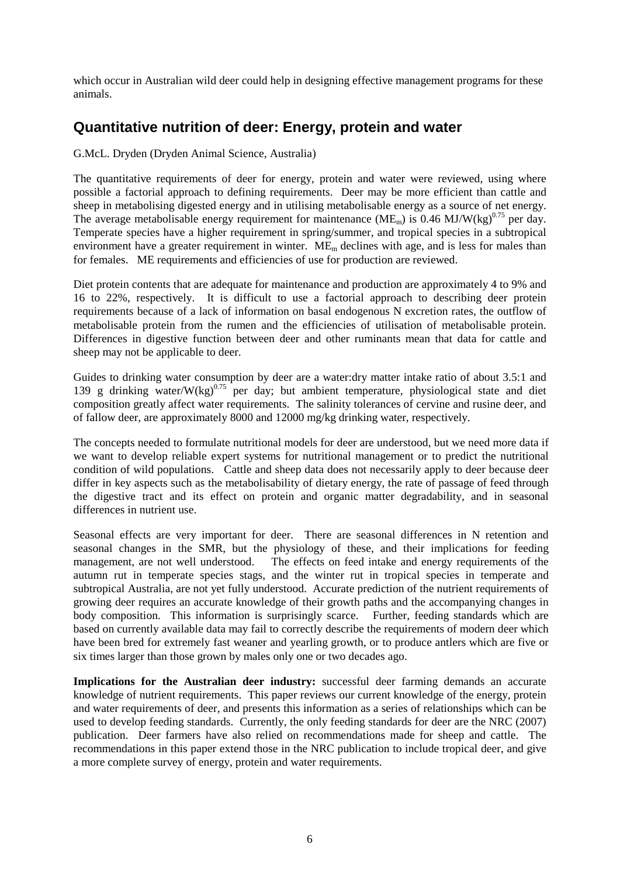which occur in Australian wild deer could help in designing effective management programs for these animals.

#### **Quantitative nutrition of deer: Energy, protein and water**

G.McL. Dryden (Dryden Animal Science, Australia)

The quantitative requirements of deer for energy, protein and water were reviewed, using where possible a factorial approach to defining requirements. Deer may be more efficient than cattle and sheep in metabolising digested energy and in utilising metabolisable energy as a source of net energy. The average metabolisable energy requirement for maintenance ( $ME<sub>m</sub>$ ) is 0.46 MJ/W(kg)<sup>0.75</sup> per day. Temperate species have a higher requirement in spring/summer, and tropical species in a subtropical environment have a greater requirement in winter. ME<sub>m</sub> declines with age, and is less for males than for females. ME requirements and efficiencies of use for production are reviewed.

Diet protein contents that are adequate for maintenance and production are approximately 4 to 9% and 16 to 22%, respectively. It is difficult to use a factorial approach to describing deer protein requirements because of a lack of information on basal endogenous N excretion rates, the outflow of metabolisable protein from the rumen and the efficiencies of utilisation of metabolisable protein. Differences in digestive function between deer and other ruminants mean that data for cattle and sheep may not be applicable to deer.

Guides to drinking water consumption by deer are a water:dry matter intake ratio of about 3.5:1 and 139 g drinking water/W(kg)<sup>0.75</sup> per day; but ambient temperature, physiological state and diet composition greatly affect water requirements. The salinity tolerances of cervine and rusine deer, and of fallow deer, are approximately 8000 and 12000 mg/kg drinking water, respectively.

The concepts needed to formulate nutritional models for deer are understood, but we need more data if we want to develop reliable expert systems for nutritional management or to predict the nutritional condition of wild populations. Cattle and sheep data does not necessarily apply to deer because deer differ in key aspects such as the metabolisability of dietary energy, the rate of passage of feed through the digestive tract and its effect on protein and organic matter degradability, and in seasonal differences in nutrient use.

Seasonal effects are very important for deer. There are seasonal differences in N retention and seasonal changes in the SMR, but the physiology of these, and their implications for feeding management, are not well understood. The effects on feed intake and energy requirements of the autumn rut in temperate species stags, and the winter rut in tropical species in temperate and subtropical Australia, are not yet fully understood. Accurate prediction of the nutrient requirements of growing deer requires an accurate knowledge of their growth paths and the accompanying changes in body composition. This information is surprisingly scarce. Further, feeding standards which are based on currently available data may fail to correctly describe the requirements of modern deer which have been bred for extremely fast weaner and yearling growth, or to produce antlers which are five or six times larger than those grown by males only one or two decades ago.

**Implications for the Australian deer industry:** successful deer farming demands an accurate knowledge of nutrient requirements. This paper reviews our current knowledge of the energy, protein and water requirements of deer, and presents this information as a series of relationships which can be used to develop feeding standards. Currently, the only feeding standards for deer are the NRC (2007) publication. Deer farmers have also relied on recommendations made for sheep and cattle. The recommendations in this paper extend those in the NRC publication to include tropical deer, and give a more complete survey of energy, protein and water requirements.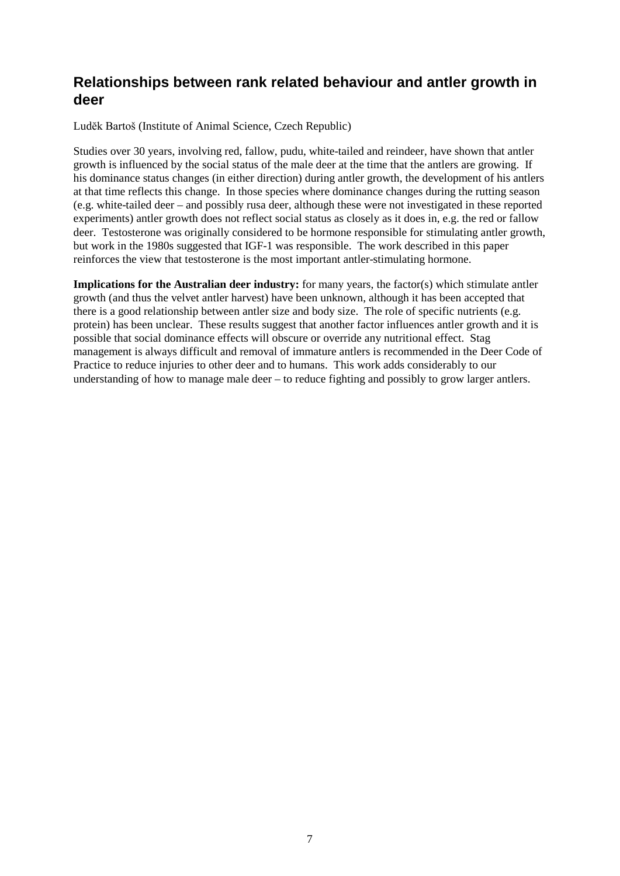#### **Relationships between rank related behaviour and antler growth in deer**

Ludĕk Bartoš (Institute of Animal Science, Czech Republic)

Studies over 30 years, involving red, fallow, pudu, white-tailed and reindeer, have shown that antler growth is influenced by the social status of the male deer at the time that the antlers are growing. If his dominance status changes (in either direction) during antler growth, the development of his antlers at that time reflects this change. In those species where dominance changes during the rutting season (e.g. white-tailed deer – and possibly rusa deer, although these were not investigated in these reported experiments) antler growth does not reflect social status as closely as it does in, e.g. the red or fallow deer. Testosterone was originally considered to be hormone responsible for stimulating antler growth, but work in the 1980s suggested that IGF-1 was responsible. The work described in this paper reinforces the view that testosterone is the most important antler-stimulating hormone.

**Implications for the Australian deer industry:** for many years, the factor(s) which stimulate antler growth (and thus the velvet antler harvest) have been unknown, although it has been accepted that there is a good relationship between antler size and body size. The role of specific nutrients (e.g. protein) has been unclear. These results suggest that another factor influences antler growth and it is possible that social dominance effects will obscure or override any nutritional effect. Stag management is always difficult and removal of immature antlers is recommended in the Deer Code of Practice to reduce injuries to other deer and to humans. This work adds considerably to our understanding of how to manage male deer – to reduce fighting and possibly to grow larger antlers.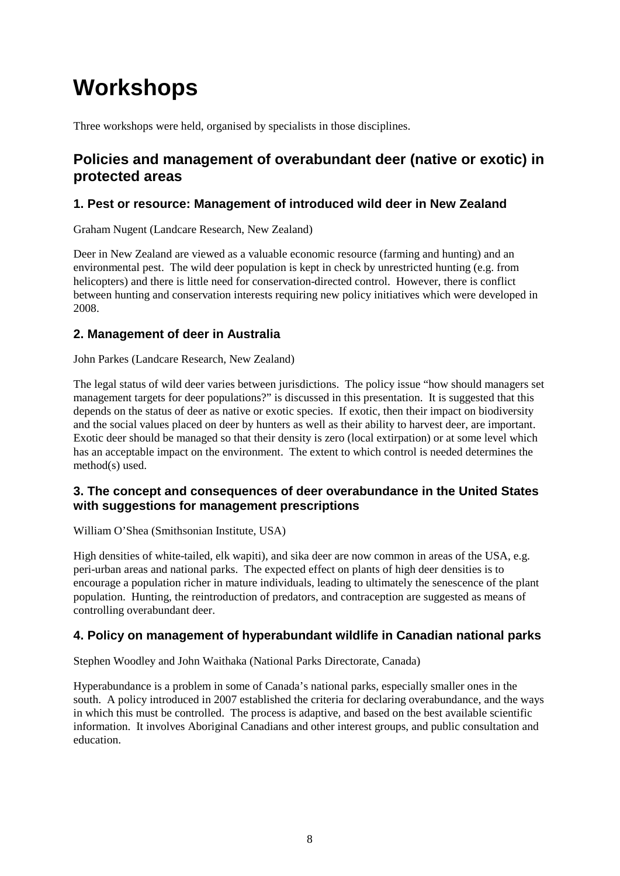## **Workshops**

Three workshops were held, organised by specialists in those disciplines.

#### **Policies and management of overabundant deer (native or exotic) in protected areas**

#### **1. Pest or resource: Management of introduced wild deer in New Zealand**

Graham Nugent (Landcare Research, New Zealand)

Deer in New Zealand are viewed as a valuable economic resource (farming and hunting) and an environmental pest. The wild deer population is kept in check by unrestricted hunting (e.g. from helicopters) and there is little need for conservation-directed control. However, there is conflict between hunting and conservation interests requiring new policy initiatives which were developed in 2008.

#### **2. Management of deer in Australia**

John Parkes (Landcare Research, New Zealand)

The legal status of wild deer varies between jurisdictions. The policy issue "how should managers set management targets for deer populations?" is discussed in this presentation. It is suggested that this depends on the status of deer as native or exotic species. If exotic, then their impact on biodiversity and the social values placed on deer by hunters as well as their ability to harvest deer, are important. Exotic deer should be managed so that their density is zero (local extirpation) or at some level which has an acceptable impact on the environment. The extent to which control is needed determines the method(s) used.

#### **3. The concept and consequences of deer overabundance in the United States with suggestions for management prescriptions**

William O'Shea (Smithsonian Institute, USA)

High densities of white-tailed, elk wapiti), and sika deer are now common in areas of the USA, e.g. peri-urban areas and national parks. The expected effect on plants of high deer densities is to encourage a population richer in mature individuals, leading to ultimately the senescence of the plant population. Hunting, the reintroduction of predators, and contraception are suggested as means of controlling overabundant deer.

#### **4. Policy on management of hyperabundant wildlife in Canadian national parks**

Stephen Woodley and John Waithaka (National Parks Directorate, Canada)

Hyperabundance is a problem in some of Canada's national parks, especially smaller ones in the south. A policy introduced in 2007 established the criteria for declaring overabundance, and the ways in which this must be controlled. The process is adaptive, and based on the best available scientific information. It involves Aboriginal Canadians and other interest groups, and public consultation and education.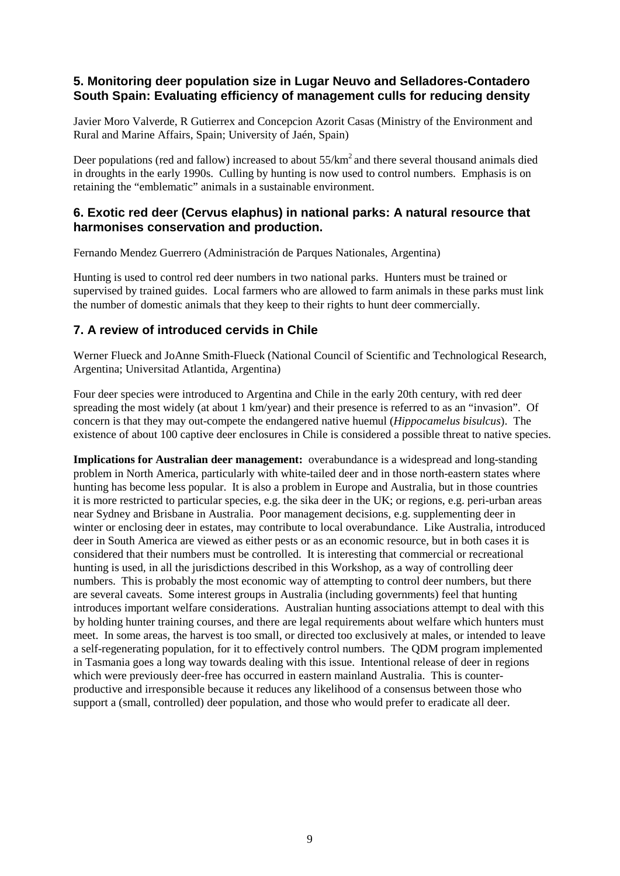#### **5. Monitoring deer population size in Lugar Neuvo and Selladores-Contadero South Spain: Evaluating efficiency of management culls for reducing density**

Javier Moro Valverde, R Gutierrex and Concepcion Azorit Casas (Ministry of the Environment and Rural and Marine Affairs, Spain; University of Jaén, Spain)

Deer populations (red and fallow) increased to about  $55/km<sup>2</sup>$  and there several thousand animals died in droughts in the early 1990s. Culling by hunting is now used to control numbers. Emphasis is on retaining the "emblematic" animals in a sustainable environment.

#### **6. Exotic red deer (Cervus elaphus) in national parks: A natural resource that harmonises conservation and production.**

Fernando Mendez Guerrero (Administración de Parques Nationales, Argentina)

Hunting is used to control red deer numbers in two national parks. Hunters must be trained or supervised by trained guides. Local farmers who are allowed to farm animals in these parks must link the number of domestic animals that they keep to their rights to hunt deer commercially.

#### **7. A review of introduced cervids in Chile**

Werner Flueck and JoAnne Smith-Flueck (National Council of Scientific and Technological Research, Argentina; Universitad Atlantida, Argentina)

Four deer species were introduced to Argentina and Chile in the early 20th century, with red deer spreading the most widely (at about 1 km/year) and their presence is referred to as an "invasion". Of concern is that they may out-compete the endangered native huemul (*Hippocamelus bisulcus*). The existence of about 100 captive deer enclosures in Chile is considered a possible threat to native species.

**Implications for Australian deer management:** overabundance is a widespread and long-standing problem in North America, particularly with white-tailed deer and in those north-eastern states where hunting has become less popular. It is also a problem in Europe and Australia, but in those countries it is more restricted to particular species, e.g. the sika deer in the UK; or regions, e.g. peri-urban areas near Sydney and Brisbane in Australia. Poor management decisions, e.g. supplementing deer in winter or enclosing deer in estates, may contribute to local overabundance. Like Australia, introduced deer in South America are viewed as either pests or as an economic resource, but in both cases it is considered that their numbers must be controlled. It is interesting that commercial or recreational hunting is used, in all the jurisdictions described in this Workshop, as a way of controlling deer numbers. This is probably the most economic way of attempting to control deer numbers, but there are several caveats. Some interest groups in Australia (including governments) feel that hunting introduces important welfare considerations. Australian hunting associations attempt to deal with this by holding hunter training courses, and there are legal requirements about welfare which hunters must meet. In some areas, the harvest is too small, or directed too exclusively at males, or intended to leave a self-regenerating population, for it to effectively control numbers. The QDM program implemented in Tasmania goes a long way towards dealing with this issue. Intentional release of deer in regions which were previously deer-free has occurred in eastern mainland Australia. This is counterproductive and irresponsible because it reduces any likelihood of a consensus between those who support a (small, controlled) deer population, and those who would prefer to eradicate all deer.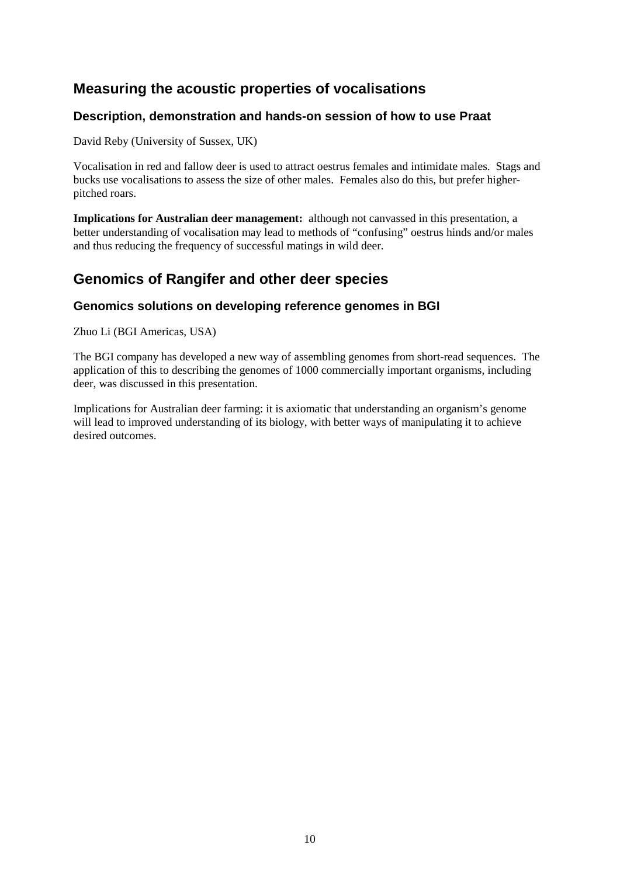### **Measuring the acoustic properties of vocalisations**

#### **Description, demonstration and hands-on session of how to use Praat**

David Reby (University of Sussex, UK)

Vocalisation in red and fallow deer is used to attract oestrus females and intimidate males. Stags and bucks use vocalisations to assess the size of other males. Females also do this, but prefer higherpitched roars.

**Implications for Australian deer management:** although not canvassed in this presentation, a better understanding of vocalisation may lead to methods of "confusing" oestrus hinds and/or males and thus reducing the frequency of successful matings in wild deer.

### **Genomics of Rangifer and other deer species**

#### **Genomics solutions on developing reference genomes in BGI**

Zhuo Li (BGI Americas, USA)

The BGI company has developed a new way of assembling genomes from short-read sequences. The application of this to describing the genomes of 1000 commercially important organisms, including deer, was discussed in this presentation.

Implications for Australian deer farming: it is axiomatic that understanding an organism's genome will lead to improved understanding of its biology, with better ways of manipulating it to achieve desired outcomes.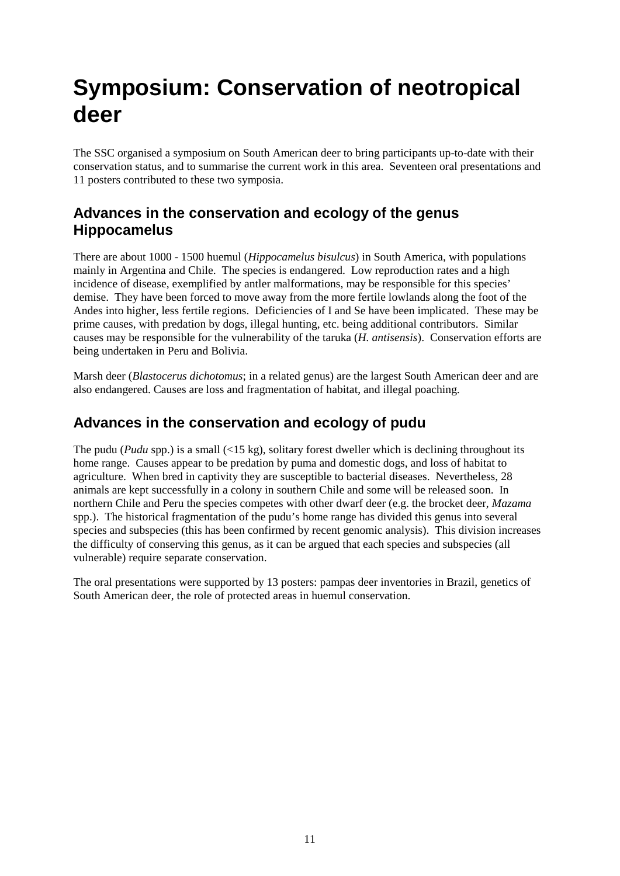## **Symposium: Conservation of neotropical deer**

The SSC organised a symposium on South American deer to bring participants up-to-date with their conservation status, and to summarise the current work in this area. Seventeen oral presentations and 11 posters contributed to these two symposia.

#### **Advances in the conservation and ecology of the genus Hippocamelus**

There are about 1000 - 1500 huemul (*Hippocamelus bisulcus*) in South America, with populations mainly in Argentina and Chile. The species is endangered. Low reproduction rates and a high incidence of disease, exemplified by antler malformations, may be responsible for this species' demise. They have been forced to move away from the more fertile lowlands along the foot of the Andes into higher, less fertile regions. Deficiencies of I and Se have been implicated. These may be prime causes, with predation by dogs, illegal hunting, etc. being additional contributors. Similar causes may be responsible for the vulnerability of the taruka (*H. antisensis*). Conservation efforts are being undertaken in Peru and Bolivia.

Marsh deer (*Blastocerus dichotomus*; in a related genus) are the largest South American deer and are also endangered. Causes are loss and fragmentation of habitat, and illegal poaching.

#### **Advances in the conservation and ecology of pudu**

The pudu (*Pudu* spp.) is a small (<15 kg), solitary forest dweller which is declining throughout its home range. Causes appear to be predation by puma and domestic dogs, and loss of habitat to agriculture. When bred in captivity they are susceptible to bacterial diseases. Nevertheless, 28 animals are kept successfully in a colony in southern Chile and some will be released soon. In northern Chile and Peru the species competes with other dwarf deer (e.g. the brocket deer, *Mazama* spp.). The historical fragmentation of the pudu's home range has divided this genus into several species and subspecies (this has been confirmed by recent genomic analysis). This division increases the difficulty of conserving this genus, as it can be argued that each species and subspecies (all vulnerable) require separate conservation.

The oral presentations were supported by 13 posters: pampas deer inventories in Brazil, genetics of South American deer, the role of protected areas in huemul conservation.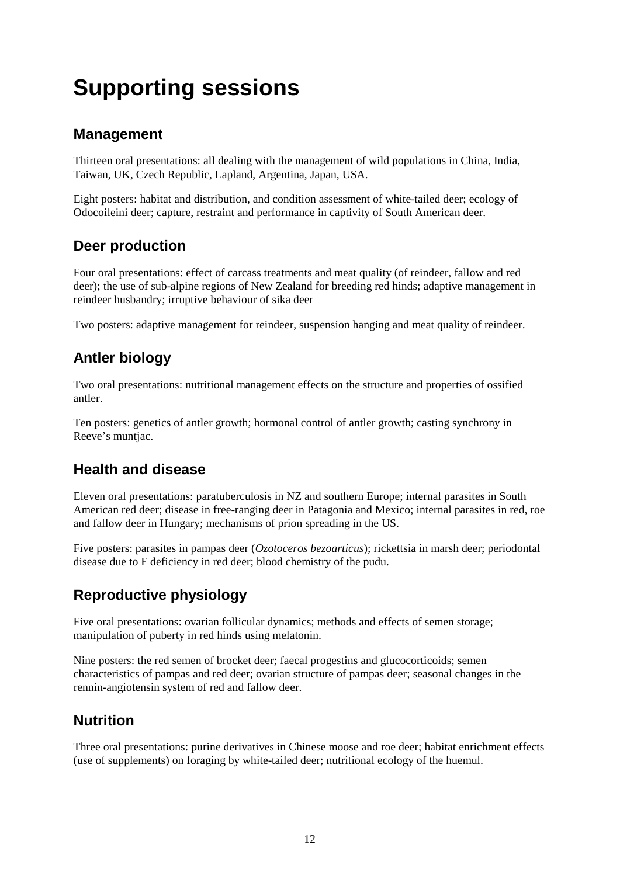# **Supporting sessions**

### **Management**

Thirteen oral presentations: all dealing with the management of wild populations in China, India, Taiwan, UK, Czech Republic, Lapland, Argentina, Japan, USA.

Eight posters: habitat and distribution, and condition assessment of white-tailed deer; ecology of Odocoileini deer; capture, restraint and performance in captivity of South American deer.

### **Deer production**

Four oral presentations: effect of carcass treatments and meat quality (of reindeer, fallow and red deer); the use of sub-alpine regions of New Zealand for breeding red hinds; adaptive management in reindeer husbandry; irruptive behaviour of sika deer

Two posters: adaptive management for reindeer, suspension hanging and meat quality of reindeer.

### **Antler biology**

Two oral presentations: nutritional management effects on the structure and properties of ossified antler.

Ten posters: genetics of antler growth; hormonal control of antler growth; casting synchrony in Reeve's muntjac.

### **Health and disease**

Eleven oral presentations: paratuberculosis in NZ and southern Europe; internal parasites in South American red deer; disease in free-ranging deer in Patagonia and Mexico; internal parasites in red, roe and fallow deer in Hungary; mechanisms of prion spreading in the US.

Five posters: parasites in pampas deer (*Ozotoceros bezoarticus*); rickettsia in marsh deer; periodontal disease due to F deficiency in red deer; blood chemistry of the pudu.

### **Reproductive physiology**

Five oral presentations: ovarian follicular dynamics; methods and effects of semen storage; manipulation of puberty in red hinds using melatonin.

Nine posters: the red semen of brocket deer; faecal progestins and glucocorticoids; semen characteristics of pampas and red deer; ovarian structure of pampas deer; seasonal changes in the rennin-angiotensin system of red and fallow deer.

#### **Nutrition**

Three oral presentations: purine derivatives in Chinese moose and roe deer; habitat enrichment effects (use of supplements) on foraging by white-tailed deer; nutritional ecology of the huemul.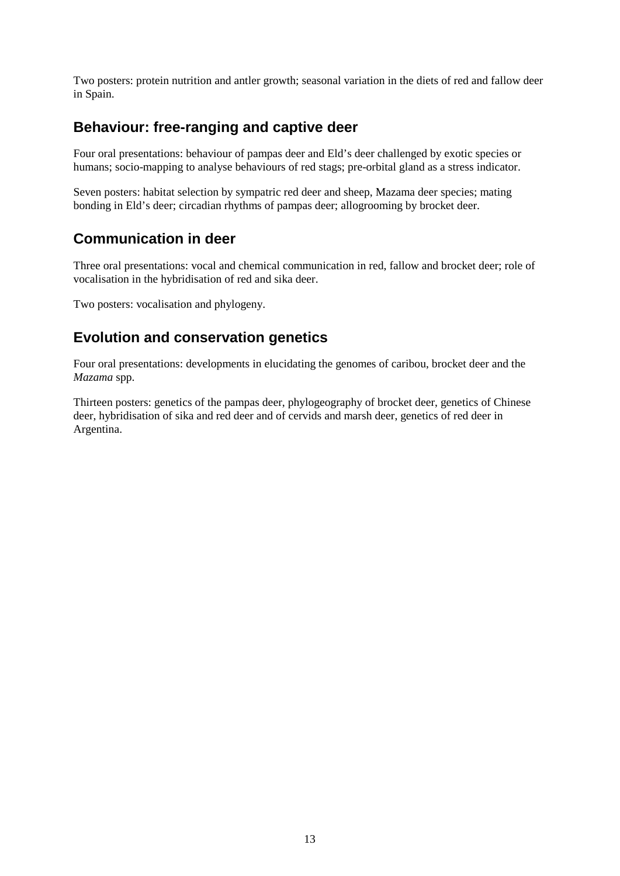Two posters: protein nutrition and antler growth; seasonal variation in the diets of red and fallow deer in Spain.

#### **Behaviour: free-ranging and captive deer**

Four oral presentations: behaviour of pampas deer and Eld's deer challenged by exotic species or humans; socio-mapping to analyse behaviours of red stags; pre-orbital gland as a stress indicator.

Seven posters: habitat selection by sympatric red deer and sheep, Mazama deer species; mating bonding in Eld's deer; circadian rhythms of pampas deer; allogrooming by brocket deer.

#### **Communication in deer**

Three oral presentations: vocal and chemical communication in red, fallow and brocket deer; role of vocalisation in the hybridisation of red and sika deer.

Two posters: vocalisation and phylogeny.

### **Evolution and conservation genetics**

Four oral presentations: developments in elucidating the genomes of caribou, brocket deer and the *Mazama* spp.

Thirteen posters: genetics of the pampas deer, phylogeography of brocket deer, genetics of Chinese deer, hybridisation of sika and red deer and of cervids and marsh deer, genetics of red deer in Argentina.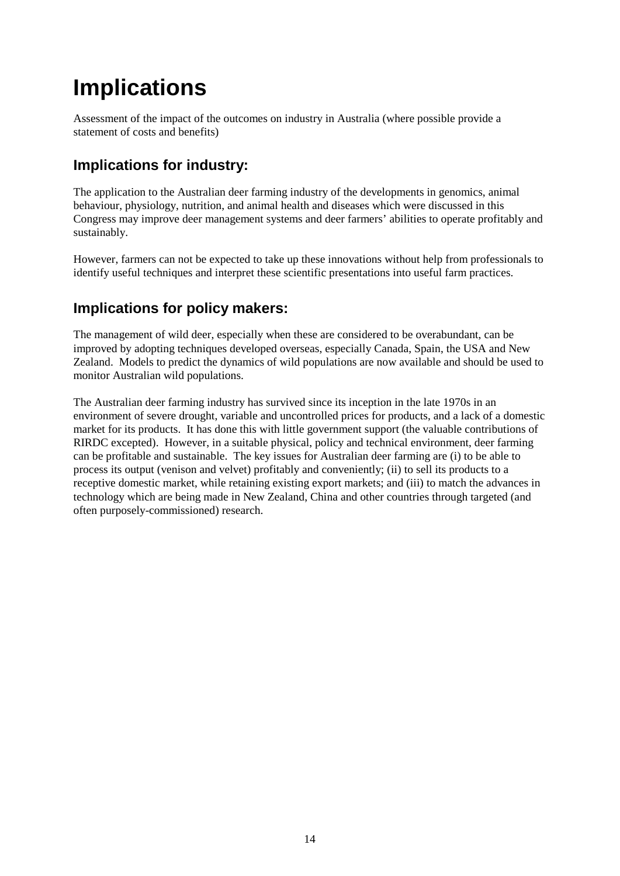## **Implications**

Assessment of the impact of the outcomes on industry in Australia (where possible provide a statement of costs and benefits)

### **Implications for industry:**

The application to the Australian deer farming industry of the developments in genomics, animal behaviour, physiology, nutrition, and animal health and diseases which were discussed in this Congress may improve deer management systems and deer farmers' abilities to operate profitably and sustainably.

However, farmers can not be expected to take up these innovations without help from professionals to identify useful techniques and interpret these scientific presentations into useful farm practices.

### **Implications for policy makers:**

The management of wild deer, especially when these are considered to be overabundant, can be improved by adopting techniques developed overseas, especially Canada, Spain, the USA and New Zealand. Models to predict the dynamics of wild populations are now available and should be used to monitor Australian wild populations.

The Australian deer farming industry has survived since its inception in the late 1970s in an environment of severe drought, variable and uncontrolled prices for products, and a lack of a domestic market for its products. It has done this with little government support (the valuable contributions of RIRDC excepted). However, in a suitable physical, policy and technical environment, deer farming can be profitable and sustainable. The key issues for Australian deer farming are (i) to be able to process its output (venison and velvet) profitably and conveniently; (ii) to sell its products to a receptive domestic market, while retaining existing export markets; and (iii) to match the advances in technology which are being made in New Zealand, China and other countries through targeted (and often purposely-commissioned) research.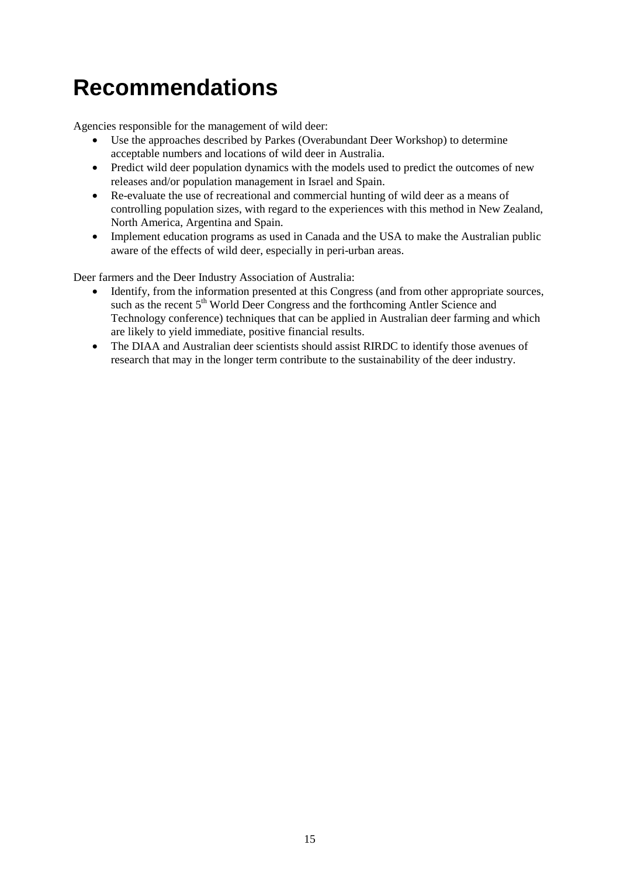## **Recommendations**

Agencies responsible for the management of wild deer:

- Use the approaches described by Parkes (Overabundant Deer Workshop) to determine acceptable numbers and locations of wild deer in Australia.
- Predict wild deer population dynamics with the models used to predict the outcomes of new releases and/or population management in Israel and Spain.
- Re-evaluate the use of recreational and commercial hunting of wild deer as a means of controlling population sizes, with regard to the experiences with this method in New Zealand, North America, Argentina and Spain.
- Implement education programs as used in Canada and the USA to make the Australian public aware of the effects of wild deer, especially in peri-urban areas.

Deer farmers and the Deer Industry Association of Australia:

- Identify, from the information presented at this Congress (and from other appropriate sources, such as the recent 5<sup>th</sup> World Deer Congress and the forthcoming Antler Science and Technology conference) techniques that can be applied in Australian deer farming and which are likely to yield immediate, positive financial results.
- The DIAA and Australian deer scientists should assist RIRDC to identify those avenues of research that may in the longer term contribute to the sustainability of the deer industry.